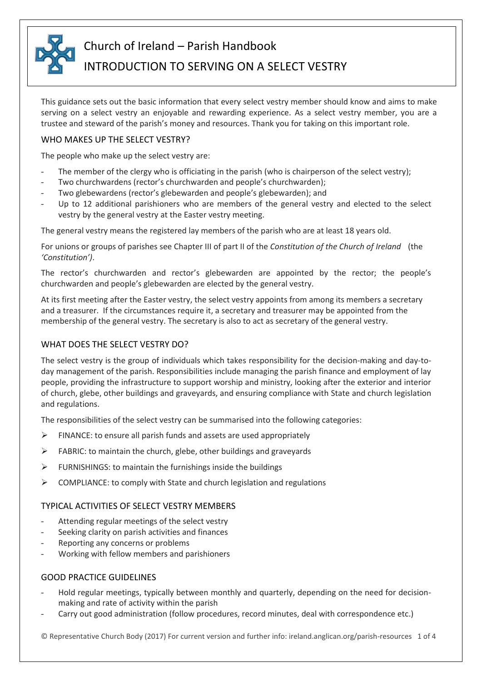

# Church of Ireland – Parish Handbook

# INTRODUCTION TO SERVING ON A SELECT VESTRY

This guidance sets out the basic information that every select vestry member should know and aims to make serving on a select vestry an enjoyable and rewarding experience. As a select vestry member, you are a trustee and steward of the parish's money and resources. Thank you for taking on this important role.

## WHO MAKES UP THE SELECT VESTRY?

The people who make up the select vestry are:

- The member of the clergy who is officiating in the parish (who is chairperson of the select vestry);
- Two churchwardens (rector's churchwarden and people's churchwarden);
- Two glebewardens (rector's glebewarden and people's glebewarden); and
- Up to 12 additional parishioners who are members of the general vestry and elected to the select vestry by the general vestry at the Easter vestry meeting.

The general vestry means the registered lay members of the parish who are at least 18 years old.

For unions or groups of parishes see Chapter III of part II of the *Constitution of the Church of Ireland* (the *'Constitution')*.

The rector's churchwarden and rector's glebewarden are appointed by the rector; the people's churchwarden and people's glebewarden are elected by the general vestry.

At its first meeting after the Easter vestry, the select vestry appoints from among its members a secretary and a treasurer. If the circumstances require it, a secretary and treasurer may be appointed from the membership of the general vestry. The secretary is also to act as secretary of the general vestry.

## WHAT DOES THE SELECT VESTRY DO?

The select vestry is the group of individuals which takes responsibility for the decision-making and day-today management of the parish. Responsibilities include managing the parish finance and employment of lay people, providing the infrastructure to support worship and ministry, looking after the exterior and interior of church, glebe, other buildings and graveyards, and ensuring compliance with State and church legislation and regulations.

The responsibilities of the select vestry can be summarised into the following categories:

- FINANCE: to ensure all parish funds and assets are used appropriately
- FABRIC: to maintain the church, glebe, other buildings and graveyards
- FURNISHINGS: to maintain the furnishings inside the buildings
- $\triangleright$  COMPLIANCE: to comply with State and church legislation and regulations

## TYPICAL ACTIVITIES OF SELECT VESTRY MEMBERS

- Attending regular meetings of the select vestry
- Seeking clarity on parish activities and finances
- Reporting any concerns or problems
- Working with fellow members and parishioners

## GOOD PRACTICE GUIDELINES

- Hold regular meetings, typically between monthly and quarterly, depending on the need for decisionmaking and rate of activity within the parish
- Carry out good administration (follow procedures, record minutes, deal with correspondence etc.)

© Representative Church Body (2017) For current version and further info: ireland.anglican.org/parish-resources 1 of 4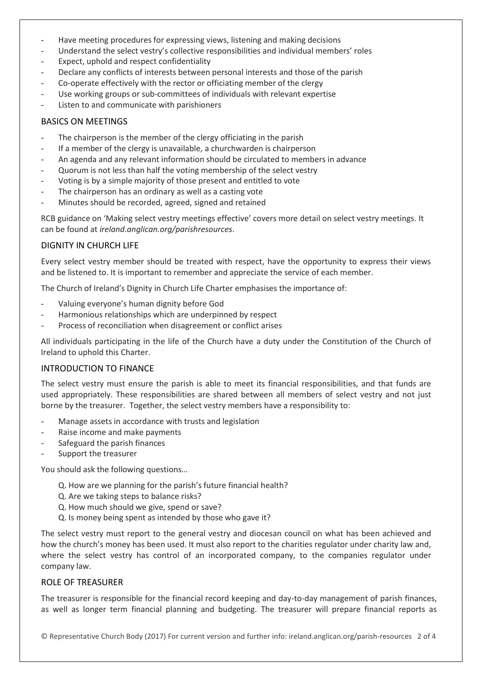- Have meeting procedures for expressing views, listening and making decisions
- Understand the select vestry's collective responsibilities and individual members' roles
- Expect, uphold and respect confidentiality
- Declare any conflicts of interests between personal interests and those of the parish
- Co-operate effectively with the rector or officiating member of the clergy
- Use working groups or sub-committees of individuals with relevant expertise
- Listen to and communicate with parishioners

## BASICS ON MEETINGS

- The chairperson is the member of the clergy officiating in the parish
- If a member of the clergy is unavailable, a churchwarden is chairperson
- An agenda and any relevant information should be circulated to members in advance
- Quorum is not less than half the voting membership of the select vestry
- Voting is by a simple majority of those present and entitled to vote
- The chairperson has an ordinary as well as a casting vote
- Minutes should be recorded, agreed, signed and retained

RCB guidance on 'Making select vestry meetings effective' covers more detail on select vestry meetings. It can be found at *ireland.anglican.org/parishresources*.

## DIGNITY IN CHURCH LIFE

Every select vestry member should be treated with respect, have the opportunity to express their views and be listened to. It is important to remember and appreciate the service of each member.

The Church of Ireland's Dignity in Church Life Charter emphasises the importance of:

- Valuing everyone's human dignity before God
- Harmonious relationships which are underpinned by respect
- Process of reconciliation when disagreement or conflict arises

All individuals participating in the life of the Church have a duty under the Constitution of the Church of Ireland to uphold this Charter.

#### INTRODUCTION TO FINANCE

The select vestry must ensure the parish is able to meet its financial responsibilities, and that funds are used appropriately. These responsibilities are shared between all members of select vestry and not just borne by the treasurer. Together, the select vestry members have a responsibility to:

- Manage assets in accordance with trusts and legislation
- Raise income and make payments
- Safeguard the parish finances
- Support the treasurer

You should ask the following questions…

- Q. How are we planning for the parish's future financial health?
- Q. Are we taking steps to balance risks?
- Q. How much should we give, spend or save?
- Q. Is money being spent as intended by those who gave it?

The select vestry must report to the general vestry and diocesan council on what has been achieved and how the church's money has been used. It must also report to the charities regulator under charity law and, where the select vestry has control of an incorporated company, to the companies regulator under company law.

#### ROLE OF TREASURER

The treasurer is responsible for the financial record keeping and day-to-day management of parish finances, as well as longer term financial planning and budgeting. The treasurer will prepare financial reports as

© Representative Church Body (2017) For current version and further info: ireland.anglican.org/parish-resources 2 of 4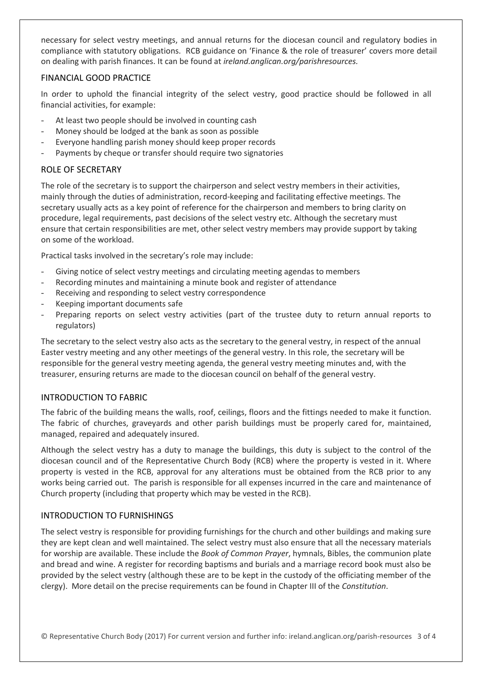necessary for select vestry meetings, and annual returns for the diocesan council and regulatory bodies in compliance with statutory obligations. RCB guidance on 'Finance & the role of treasurer' covers more detail on dealing with parish finances. It can be found at *ireland.anglican.org/parishresources.*

## FINANCIAL GOOD PRACTICE

In order to uphold the financial integrity of the select vestry, good practice should be followed in all financial activities, for example:

- At least two people should be involved in counting cash
- Money should be lodged at the bank as soon as possible
- Everyone handling parish money should keep proper records
- Payments by cheque or transfer should require two signatories

## ROLE OF SECRETARY

The role of the secretary is to support the chairperson and select vestry members in their activities, mainly through the duties of administration, record-keeping and facilitating effective meetings. The secretary usually acts as a key point of reference for the chairperson and members to bring clarity on procedure, legal requirements, past decisions of the select vestry etc. Although the secretary must ensure that certain responsibilities are met, other select vestry members may provide support by taking on some of the workload.

Practical tasks involved in the secretary's role may include:

- Giving notice of select vestry meetings and circulating meeting agendas to members
- Recording minutes and maintaining a minute book and register of attendance
- Receiving and responding to select vestry correspondence
- Keeping important documents safe
- Preparing reports on select vestry activities (part of the trustee duty to return annual reports to regulators)

The secretary to the select vestry also acts as the secretary to the general vestry, in respect of the annual Easter vestry meeting and any other meetings of the general vestry. In this role, the secretary will be responsible for the general vestry meeting agenda, the general vestry meeting minutes and, with the treasurer, ensuring returns are made to the diocesan council on behalf of the general vestry.

## INTRODUCTION TO FABRIC

The fabric of the building means the walls, roof, ceilings, floors and the fittings needed to make it function. The fabric of churches, graveyards and other parish buildings must be properly cared for, maintained, managed, repaired and adequately insured.

Although the select vestry has a duty to manage the buildings, this duty is subject to the control of the diocesan council and of the Representative Church Body (RCB) where the property is vested in it. Where property is vested in the RCB, approval for any alterations must be obtained from the RCB prior to any works being carried out. The parish is responsible for all expenses incurred in the care and maintenance of Church property (including that property which may be vested in the RCB).

## INTRODUCTION TO FURNISHINGS

The select vestry is responsible for providing furnishings for the church and other buildings and making sure they are kept clean and well maintained. The select vestry must also ensure that all the necessary materials for worship are available. These include the *Book of Common Prayer*, hymnals, Bibles, the communion plate and bread and wine. A register for recording baptisms and burials and a marriage record book must also be provided by the select vestry (although these are to be kept in the custody of the officiating member of the clergy). More detail on the precise requirements can be found in Chapter III of the *Constitution*.